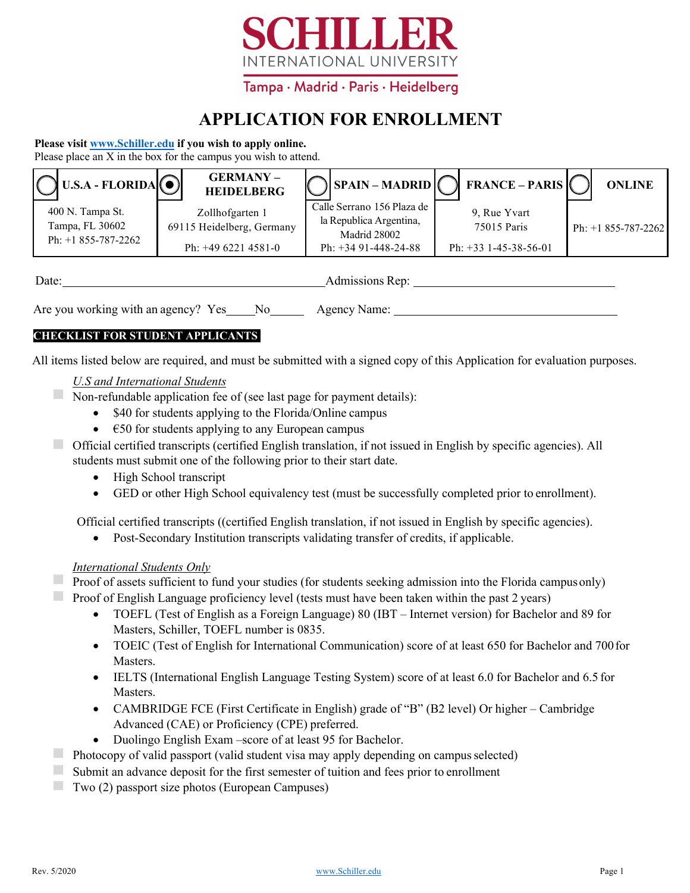

# **APPLICATION FOR ENROLLMENT**

### **Please visit www.Schiller.edu if you wish to apply online.**

Please place an X in the box for the campus you wish to attend.

| $\bigcirc$ U.S.A - FLORIDA $\bigcirc$                       | <b>GERMANY-</b><br><b>HEIDELBERG</b>         |                                                                       | $\bigcirc$ SPAIN – MADRID $\bigcirc$ FRANCE – PARIS | <b>ONLINE</b>        |
|-------------------------------------------------------------|----------------------------------------------|-----------------------------------------------------------------------|-----------------------------------------------------|----------------------|
| 400 N. Tampa St.<br>Tampa, FL 30602<br>Ph: $+1877-298-9078$ | Zollhofgarten 1<br>69115 Heidelberg, Germany | Calle Serrano 156 Plaza de<br>la Republica Argentina,<br>Madrid 28002 | 9, Rue Yvart<br>75015 Paris                         | Ph: $+1855-787-2262$ |
|                                                             | Ph: $+4962214581-0$                          | Ph: $+3491-448-24-88$                                                 | Ph: $+33$ 1-45-38-56-01                             |                      |

| $\overline{ }$<br>)ate<br>- - - |  |
|---------------------------------|--|
|                                 |  |

Are you working with an agency? Yes No Agency Name:

# **CHECKLIST FOR STUDENT APPLICANTS**

All items listed below are required, and must be submitted with a signed copy of this Application for evaluation purposes.

# *U.S and International Students*

■ Non-refundable application fee of (see last page for payment details):

- \$50 for students applying to the Florida/Online campus
- $\epsilon$   $\epsilon$ 50 for students applying to any European campus

◻ Official certified transcripts (certified English translation, if not issued in English by specific agencies). All students must submit one of the following prior to their start date.

- High School transcript
- GED or other High School equivalency test (must be successfully completed prior toenrollment).

Official certified transcripts ((certified English translation, if not issued in English by specific agencies).

• Post-Secondary Institution transcripts validating transfer of credits, if applicable.

# *International Students Only*

■ Proof of assets sufficient to fund your studies (for students seeking admission into the Florida campus only)

**EXECUTE:** Proof of English Language proficiency level (tests must have been taken within the past 2 years)

- TOEFL (Test of English as a Foreign Language) 80 (IBT Internet version) for Bachelor and 89 for Masters, Schiller, TOEFL number is 0835.
- TOEIC (Test of English for International Communication) score of at least 650 for Bachelor and 700 for Masters.
- IELTS (International English Language Testing System) score of at least 6.0 for Bachelor and 6.5 for Masters.
- CAMBRIDGE FCE (First Certificate in English) grade of "B" (B2 level) Or higher Cambridge Advanced (CAE) or Proficiency (CPE) preferred.
- Duolingo English Exam –score of at least 95 for Bachelor.
- **EXECUTE:** Photocopy of valid passport (valid student visa may apply depending on campus selected)
- Submit an advance deposit for the first semester of tuition and fees prior to enrollment
- ◻ Two (2) passport size photos (European Campuses)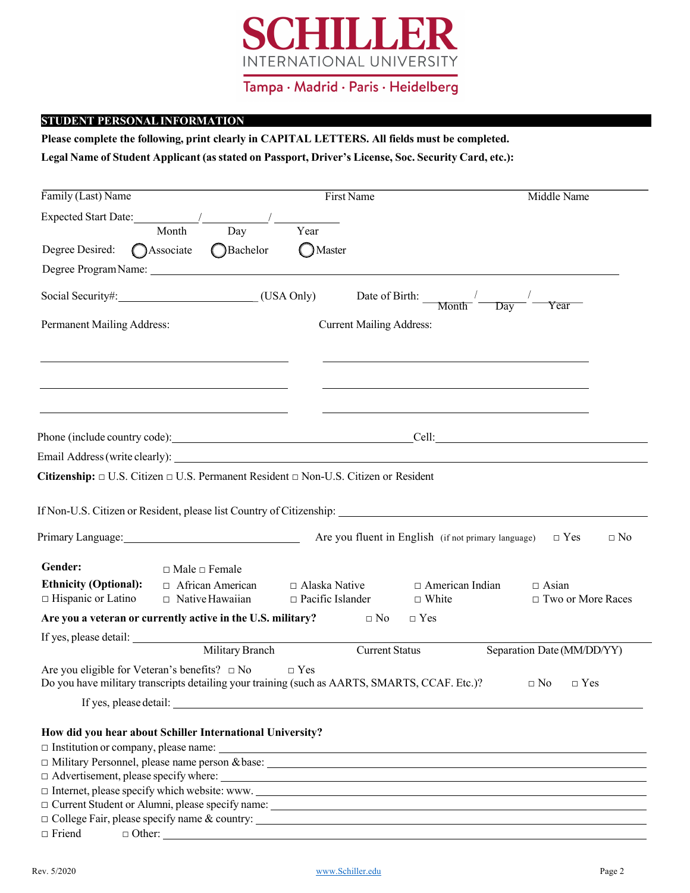

### **STUDENT PERSONALINFORMATION**

**Please complete the following, print clearly in CAPITAL LETTERS. All fields must be completed.** 

**Legal Name of Student Applicant (asstated on Passport, Driver's License, Soc. Security Card, etc.):**

| Family (Last) Name                                                                                                                                     |                           |                                                   |                                                 | First Name                      |                                                                   | Middle Name                               |
|--------------------------------------------------------------------------------------------------------------------------------------------------------|---------------------------|---------------------------------------------------|-------------------------------------------------|---------------------------------|-------------------------------------------------------------------|-------------------------------------------|
| Expected Start Date: /                                                                                                                                 |                           |                                                   |                                                 |                                 |                                                                   |                                           |
|                                                                                                                                                        | Month                     | Day                                               | Year                                            |                                 |                                                                   |                                           |
| Degree Desired: CAssociate                                                                                                                             |                           | Bachelor                                          | <b>O</b> Master                                 |                                 |                                                                   |                                           |
|                                                                                                                                                        |                           |                                                   |                                                 |                                 |                                                                   |                                           |
|                                                                                                                                                        |                           |                                                   |                                                 |                                 |                                                                   | Year                                      |
| Permanent Mailing Address:                                                                                                                             |                           |                                                   |                                                 | <b>Current Mailing Address:</b> |                                                                   |                                           |
|                                                                                                                                                        |                           |                                                   |                                                 |                                 |                                                                   |                                           |
|                                                                                                                                                        |                           |                                                   |                                                 |                                 |                                                                   | Phone (include country code): Cell: Cell: |
| Email Address (write clearly): Notice and Address (write clearly):                                                                                     |                           |                                                   |                                                 |                                 |                                                                   |                                           |
| Citizenship: $\Box$ U.S. Citizen $\Box$ U.S. Permanent Resident $\Box$ Non-U.S. Citizen or Resident                                                    |                           |                                                   |                                                 |                                 |                                                                   |                                           |
|                                                                                                                                                        |                           |                                                   |                                                 |                                 |                                                                   |                                           |
| If Non-U.S. Citizen or Resident, please list Country of Citizenship: _______________________________                                                   |                           |                                                   |                                                 |                                 |                                                                   |                                           |
| Primary Language: 1997                                                                                                                                 |                           |                                                   |                                                 |                                 | Are you fluent in English (if not primary language) $\square$ Yes | $\Box$ No                                 |
|                                                                                                                                                        |                           |                                                   |                                                 |                                 |                                                                   |                                           |
| Gender:                                                                                                                                                | $\Box$ Male $\Box$ Female |                                                   |                                                 |                                 |                                                                   |                                           |
| <b>Ethnicity (Optional):</b><br>$\Box$ Hispanic or Latino                                                                                              |                           | $\Box$ African American<br>$\Box$ Native Hawaiian | $\Box$ Alaska Native<br>$\Box$ Pacific Islander |                                 | $\Box$ American Indian<br>$\Box$ White                            | $\Box$ Asian<br>$\Box$ Two or More Races  |
| Are you a veteran or currently active in the U.S. military?                                                                                            |                           |                                                   |                                                 | $\Box$ No                       | $\Box$ Yes                                                        |                                           |
| If yes, please detail:                                                                                                                                 |                           |                                                   |                                                 |                                 |                                                                   |                                           |
|                                                                                                                                                        |                           | Military Branch                                   |                                                 | <b>Current Status</b>           |                                                                   | Separation Date (MM/DD/YY)                |
| Are you eligible for Veteran's benefits? $\square$ No<br>Do you have military transcripts detailing your training (such as AARTS, SMARTS, CCAF. Etc.)? |                           |                                                   | $\Box$ Yes                                      |                                 |                                                                   | $\Box$ No<br>$\Box$ Yes                   |
| If yes, please detail:                                                                                                                                 |                           |                                                   |                                                 |                                 |                                                                   |                                           |
|                                                                                                                                                        |                           |                                                   |                                                 |                                 |                                                                   |                                           |
| How did you hear about Schiller International University?                                                                                              |                           |                                                   |                                                 |                                 |                                                                   |                                           |
| $\Box$ Military Personnel, please name person & base: $\Box$                                                                                           |                           |                                                   |                                                 |                                 |                                                                   |                                           |
|                                                                                                                                                        |                           |                                                   |                                                 |                                 |                                                                   |                                           |
| $\Box$ Internet, please specify which website: www.                                                                                                    |                           |                                                   |                                                 |                                 |                                                                   |                                           |
| $\Box$ Current Student or Alumni, please specify name:                                                                                                 |                           |                                                   |                                                 |                                 |                                                                   |                                           |
|                                                                                                                                                        |                           |                                                   |                                                 |                                 |                                                                   |                                           |
| $\Box$ Friend                                                                                                                                          | $\Box$ Other:             |                                                   |                                                 |                                 |                                                                   |                                           |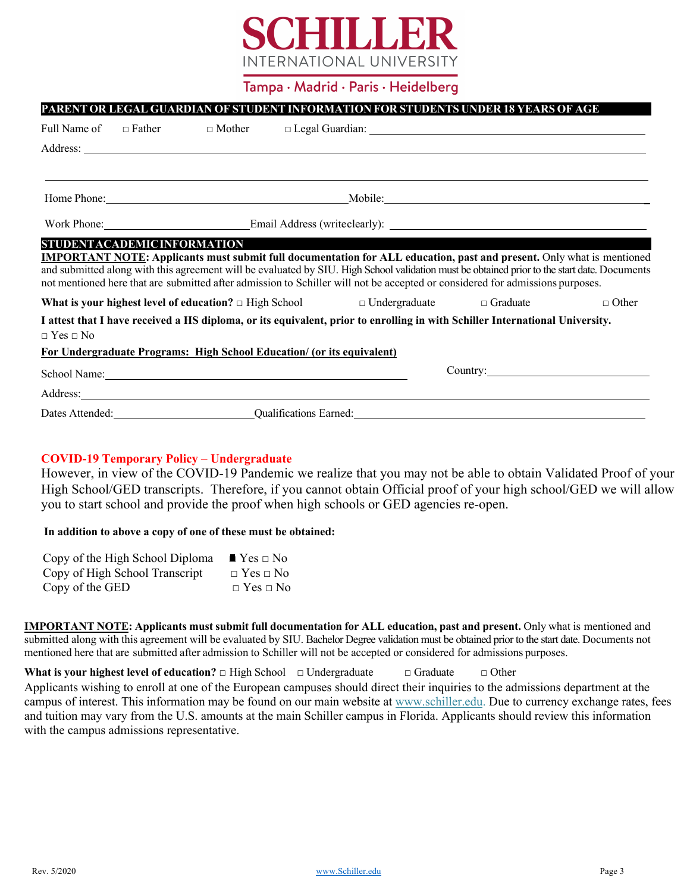

# **PARENT OR LEGAL GUARDIAN OF STUDENT INFORMATION FOR STUDENTS UNDER 18 YEARS OF AGE** Full Name of  $\Box$  Father  $\Box$  Mother  $\Box$  Legal Guardian: Address: Home Phone: The Contract of the Contract of the Mobile: Mobile:  $\blacksquare$ Work Phone: Email Address (writeclearly): **STUDENTACADEMICINFORMATION IMPORTANT NOTE: Applicants must submit full documentation for ALL education, past and present.** Only what is mentioned and submitted along with this agreement will be evaluated by SIU. High School validation must be obtained prior to the start date. Documents not mentioned here that are submitted after admission to Schiller will not be accepted or considered for admissions purposes. **What is your highest level of education?** □ High School □ Undergraduate □ Graduate □ Other **I attest that I have received a HS diploma, or its equivalent, prior to enrolling in with Schiller International University.** □ Yes □ No **For Undergraduate Programs: High School Education/ (or its equivalent)** School Name: Country: Country: Country: Country: Country: Country: Country: Country: Country: Country: Country: Country: Country: Country: Country: Country: Country: Country: Country: Country: Country: Country: Country: Co Address: Dates Attended: Qualifications Earned:

**IMPORTANT NOTE: Applicants must submit full documentation for ALL education, past and present.** Only what is mentioned and submitted along with this agreement will be evaluated by SIU. Bachelor Degree validation must be obtained prior to the start date. Documents not mentioned here that are submitted after admission to Schiller will not be accepted or considered for admissions purposes.

**What is your highest level of education?** □ High School □ Undergraduate □ Graduate □ Other

and tuition may vary from the U.S. amounts at the main Schiller campus in Florida. Applicants should review this information Applicants wishing to enroll at one of the European campuses should direct their inquiries to the admissions department at the campus of interest. This information may be found on our main website at www.schiller.edu. Due to currency exchange rates, fees with the campus admissions representative.